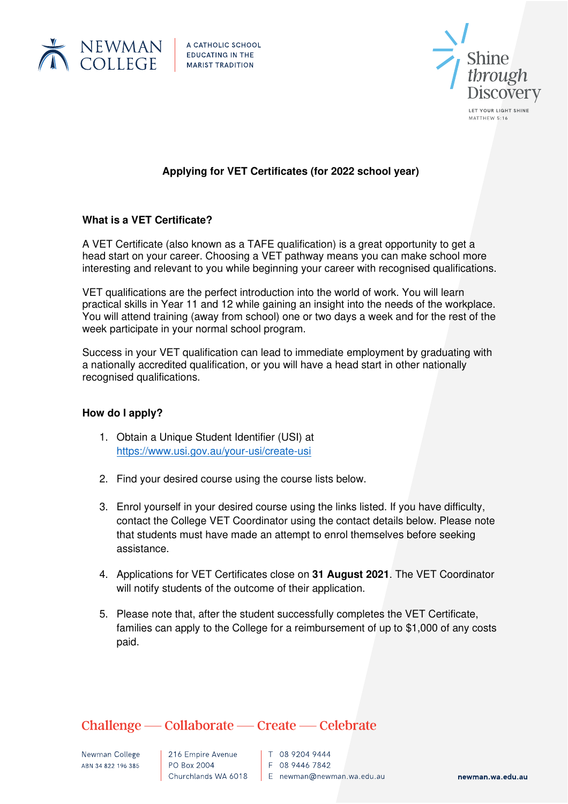

A CATHOLIC SCHOOL **EDUCATING IN THE** 



MATTHEW 5:16

# **Applying for VET Certificates (for 2022 school year)**

### **What is a VET Certificate?**

A VET Certificate (also known as a TAFE qualification) is a great opportunity to get a head start on your career. Choosing a VET pathway means you can make school more interesting and relevant to you while beginning your career with recognised qualifications.

VET qualifications are the perfect introduction into the world of work. You will learn practical skills in Year 11 and 12 while gaining an insight into the needs of the workplace. You will attend training (away from school) one or two days a week and for the rest of the week participate in your normal school program.

Success in your VET qualification can lead to immediate employment by graduating with a nationally accredited qualification, or you will have a head start in other nationally recognised qualifications.

### **How do I apply?**

- 1. Obtain a Unique Student Identifier (USI) at <https://www.usi.gov.au/your-usi/create-usi>
- 2. Find your desired course using the course lists below.
- 3. Enrol yourself in your desired course using the links listed. If you have difficulty, contact the College VET Coordinator using the contact details below. Please note that students must have made an attempt to enrol themselves before seeking assistance.
- 4. Applications for VET Certificates close on **31 August 2021**. The VET Coordinator will notify students of the outcome of their application.
- 5. Please note that, after the student successfully completes the VET Certificate, families can apply to the College for a reimbursement of up to \$1,000 of any costs paid.

# Challenge — Collaborate — Create — Celebrate

Newman College ABN 34 822 196 385

216 Empire Avenue PO Box 2004

 $\vert$  T 08 9204 9444  $F$  08 9446 7842 Churchlands WA 6018 E newman@newman.wa.edu.au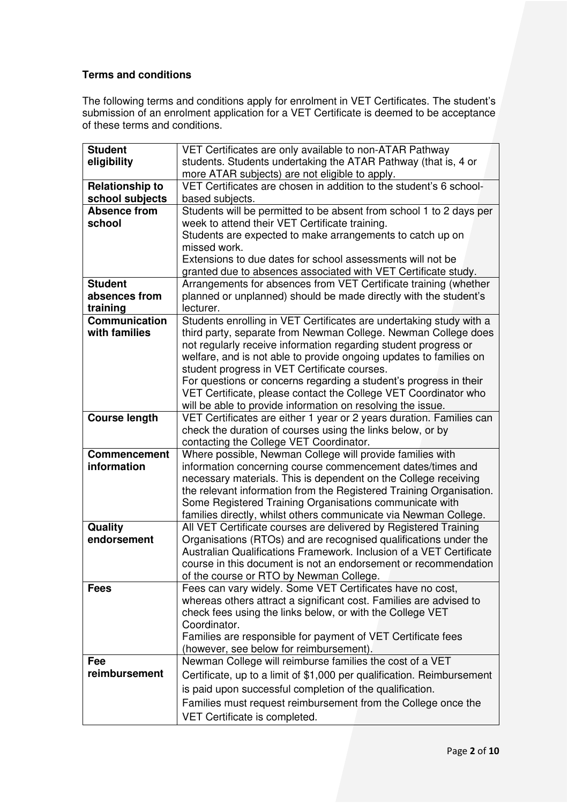## **Terms and conditions**

The following terms and conditions apply for enrolment in VET Certificates. The student's submission of an enrolment application for a VET Certificate is deemed to be acceptance of these terms and conditions.

| <b>Student</b>         | VET Certificates are only available to non-ATAR Pathway                                                                 |
|------------------------|-------------------------------------------------------------------------------------------------------------------------|
| eligibility            | students. Students undertaking the ATAR Pathway (that is, 4 or                                                          |
|                        | more ATAR subjects) are not eligible to apply.                                                                          |
| <b>Relationship to</b> | VET Certificates are chosen in addition to the student's 6 school-                                                      |
| school subjects        | based subjects.                                                                                                         |
| <b>Absence from</b>    | Students will be permitted to be absent from school 1 to 2 days per                                                     |
| school                 | week to attend their VET Certificate training.                                                                          |
|                        | Students are expected to make arrangements to catch up on                                                               |
|                        | missed work.                                                                                                            |
|                        | Extensions to due dates for school assessments will not be                                                              |
|                        | granted due to absences associated with VET Certificate study.                                                          |
| <b>Student</b>         | Arrangements for absences from VET Certificate training (whether                                                        |
| absences from          | planned or unplanned) should be made directly with the student's                                                        |
| training               | lecturer.                                                                                                               |
| Communication          | Students enrolling in VET Certificates are undertaking study with a                                                     |
| with families          | third party, separate from Newman College. Newman College does                                                          |
|                        | not regularly receive information regarding student progress or                                                         |
|                        | welfare, and is not able to provide ongoing updates to families on                                                      |
|                        | student progress in VET Certificate courses.                                                                            |
|                        | For questions or concerns regarding a student's progress in their                                                       |
|                        | VET Certificate, please contact the College VET Coordinator who                                                         |
|                        | will be able to provide information on resolving the issue.                                                             |
| <b>Course length</b>   | VET Certificates are either 1 year or 2 years duration. Families can                                                    |
|                        | check the duration of courses using the links below, or by                                                              |
| <b>Commencement</b>    | contacting the College VET Coordinator.                                                                                 |
| information            | Where possible, Newman College will provide families with<br>information concerning course commencement dates/times and |
|                        | necessary materials. This is dependent on the College receiving                                                         |
|                        | the relevant information from the Registered Training Organisation.                                                     |
|                        | Some Registered Training Organisations communicate with                                                                 |
|                        | families directly, whilst others communicate via Newman College.                                                        |
| Quality                | All VET Certificate courses are delivered by Registered Training                                                        |
| endorsement            | Organisations (RTOs) and are recognised qualifications under the                                                        |
|                        | Australian Qualifications Framework. Inclusion of a VET Certificate                                                     |
|                        | course in this document is not an endorsement or recommendation                                                         |
|                        | of the course or RTO by Newman College.                                                                                 |
| <b>Fees</b>            | Fees can vary widely. Some VET Certificates have no cost,                                                               |
|                        | whereas others attract a significant cost. Families are advised to                                                      |
|                        | check fees using the links below, or with the College VET                                                               |
|                        | Coordinator.                                                                                                            |
|                        | Families are responsible for payment of VET Certificate fees                                                            |
|                        | (however, see below for reimbursement).                                                                                 |
| Fee                    | Newman College will reimburse families the cost of a VET                                                                |
| reimbursement          | Certificate, up to a limit of \$1,000 per qualification. Reimbursement                                                  |
|                        | is paid upon successful completion of the qualification.                                                                |
|                        | Families must request reimbursement from the College once the                                                           |
|                        | VET Certificate is completed.                                                                                           |
|                        |                                                                                                                         |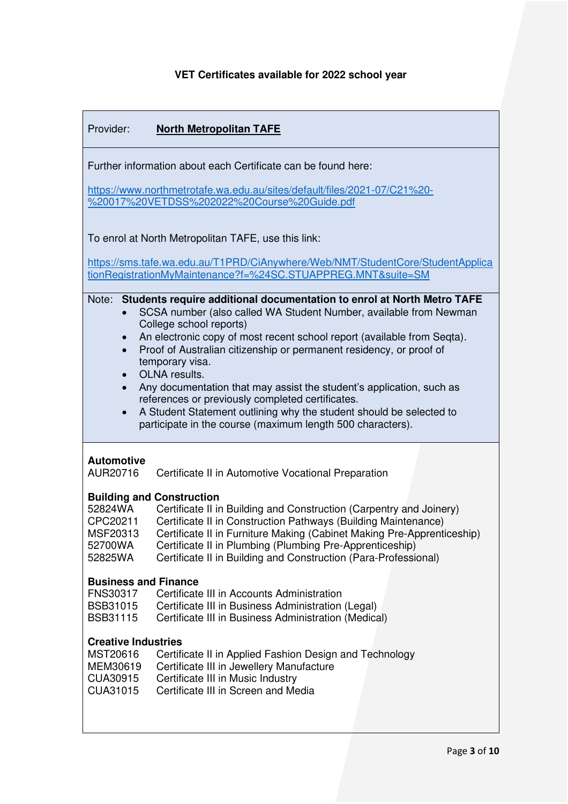# **VET Certificates available for 2022 school year**

| Provider:<br><b>North Metropolitan TAFE</b>                                                                                                                                                                                                                                                                                                                                                                                                                                                                                                                                                                                                                                                |  |
|--------------------------------------------------------------------------------------------------------------------------------------------------------------------------------------------------------------------------------------------------------------------------------------------------------------------------------------------------------------------------------------------------------------------------------------------------------------------------------------------------------------------------------------------------------------------------------------------------------------------------------------------------------------------------------------------|--|
| Further information about each Certificate can be found here:<br>https://www.northmetrotafe.wa.edu.au/sites/default/files/2021-07/C21%20-<br>%20017%20VETDSS%202022%20Course%20Guide.pdf                                                                                                                                                                                                                                                                                                                                                                                                                                                                                                   |  |
| To enrol at North Metropolitan TAFE, use this link:                                                                                                                                                                                                                                                                                                                                                                                                                                                                                                                                                                                                                                        |  |
| https://sms.tafe.wa.edu.au/T1PRD/CiAnywhere/Web/NMT/StudentCore/StudentApplica<br>tionRegistrationMyMaintenance?f=%24SC.STUAPPREG.MNT&suite=SM                                                                                                                                                                                                                                                                                                                                                                                                                                                                                                                                             |  |
| Students require additional documentation to enrol at North Metro TAFE<br>Note:<br>SCSA number (also called WA Student Number, available from Newman<br>College school reports)<br>An electronic copy of most recent school report (available from Seqta).<br>$\bullet$<br>Proof of Australian citizenship or permanent residency, or proof of<br>$\bullet$<br>temporary visa.<br>OLNA results.<br>$\bullet$<br>Any documentation that may assist the student's application, such as<br>$\bullet$<br>references or previously completed certificates.<br>A Student Statement outlining why the student should be selected to<br>participate in the course (maximum length 500 characters). |  |
| <b>Automotive</b><br>AUR20716<br>Certificate II in Automotive Vocational Preparation                                                                                                                                                                                                                                                                                                                                                                                                                                                                                                                                                                                                       |  |
| <b>Building and Construction</b><br>52824WA<br>Certificate II in Building and Construction (Carpentry and Joinery)<br>CPC20211<br>Certificate II in Construction Pathways (Building Maintenance)<br>Certificate II in Furniture Making (Cabinet Making Pre-Apprenticeship)<br>MSF20313<br>Certificate II in Plumbing (Plumbing Pre-Apprenticeship)<br>52700WA<br>Certificate II in Building and Construction (Para-Professional)<br>52825WA                                                                                                                                                                                                                                                |  |
| <b>Business and Finance</b><br><b>FNS30317</b><br>Certificate III in Accounts Administration<br>Certificate III in Business Administration (Legal)<br><b>BSB31015</b><br>Certificate III in Business Administration (Medical)<br><b>BSB31115</b>                                                                                                                                                                                                                                                                                                                                                                                                                                           |  |
| <b>Creative Industries</b><br>MST20616<br>Certificate II in Applied Fashion Design and Technology<br>MEM30619<br>Certificate III in Jewellery Manufacture<br>Certificate III in Music Industry<br>CUA30915<br>CUA31015<br>Certificate III in Screen and Media                                                                                                                                                                                                                                                                                                                                                                                                                              |  |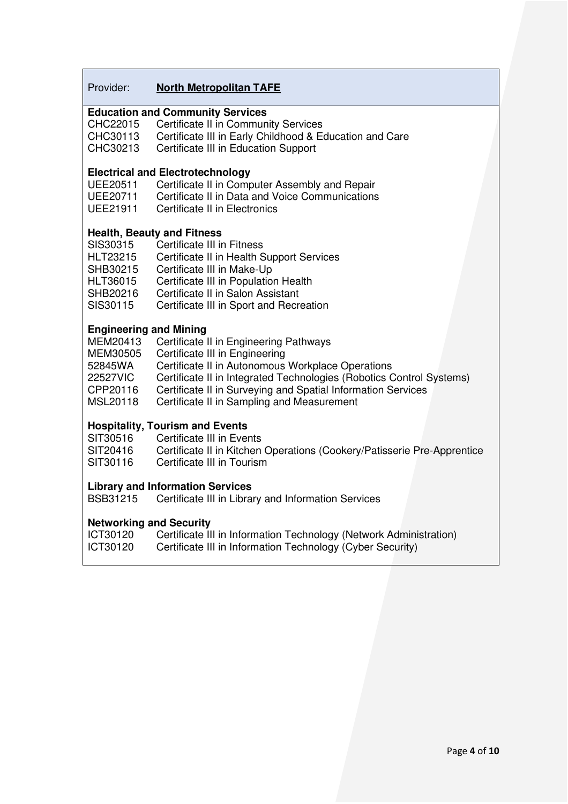## Provider: **North Metropolitan TAFE**

# **Education and Community Services**

- CHC22015 Certificate II in Community Services<br>CHC30113 Certificate III in Early Childhood & Eq
- CHC30113 Certificate III in Early Childhood & Education and Care<br>CHC30213 Certificate III in Education Support
- Certificate III in Education Support

# **Electrical and Electrotechnology**

- UEE20511 Certificate II in Computer Assembly and Repair<br>UEE20711 Certificate II in Data and Voice Communications
- UEE20711 Certificate II in Data and Voice Communications<br>UEE21911 Certificate II in Electronics
- **Certificate II in Electronics**

#### **Health, Beauty and Fitness**

| SIS30315        | Certificate III in Fitness                |
|-----------------|-------------------------------------------|
| <b>HLT23215</b> | Certificate II in Health Support Services |
| SHB30215        | Certificate III in Make-Up                |
| HLT36015        | Certificate III in Population Health      |
| SHB20216        | Certificate II in Salon Assistant         |
| SIS30115        | Certificate III in Sport and Recreation   |

### **Engineering and Mining**

| MEM20413 | Certificate II in Engineering Pathways                               |  |
|----------|----------------------------------------------------------------------|--|
| MEM30505 | Certificate III in Engineering                                       |  |
| 52845WA  | Certificate II in Autonomous Workplace Operations                    |  |
| 22527VIC | Certificate II in Integrated Technologies (Robotics Control Systems) |  |
| CPP20116 | Certificate II in Surveying and Spatial Information Services         |  |
| MSL20118 | Certificate II in Sampling and Measurement                           |  |

# **Hospitality, Tourism and Events**

- 
- SIT30516 Certificate III in Events<br>SIT20416 Certificate II in Kitchen Certificate II in Kitchen Operations (Cookery/Patisserie Pre-Apprentice
- SIT30116 Certificate III in Tourism

#### **Library and Information Services**

BSB31215 Certificate III in Library and Information Services

# **Networking and Security<br>ICT30120** Certificate II

Certificate III in Information Technology (Network Administration) ICT30120 Certificate III in Information Technology (Cyber Security)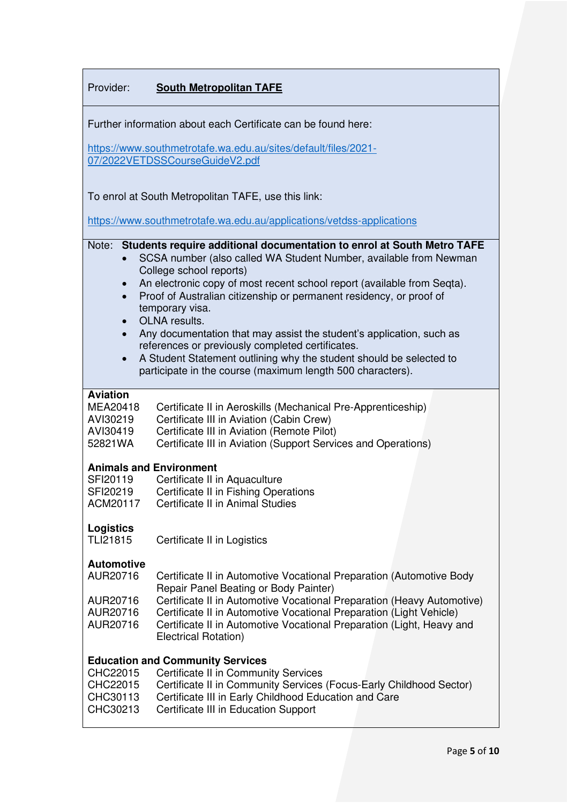| Provider:                                                                                                                                                                                                                                                                                                                                                         | <b>South Metropolitan TAFE</b>                                                                                                                                                                                                                                                                                                          |
|-------------------------------------------------------------------------------------------------------------------------------------------------------------------------------------------------------------------------------------------------------------------------------------------------------------------------------------------------------------------|-----------------------------------------------------------------------------------------------------------------------------------------------------------------------------------------------------------------------------------------------------------------------------------------------------------------------------------------|
| Further information about each Certificate can be found here:<br>https://www.southmetrotafe.wa.edu.au/sites/default/files/2021-                                                                                                                                                                                                                                   |                                                                                                                                                                                                                                                                                                                                         |
|                                                                                                                                                                                                                                                                                                                                                                   | 07/2022VETDSSCourseGuideV2.pdf                                                                                                                                                                                                                                                                                                          |
|                                                                                                                                                                                                                                                                                                                                                                   | To enrol at South Metropolitan TAFE, use this link:<br>https://www.southmetrotafe.wa.edu.au/applications/vetdss-applications                                                                                                                                                                                                            |
| Students require additional documentation to enrol at South Metro TAFE<br>Note:<br>SCSA number (also called WA Student Number, available from Newman<br>College school reports)<br>An electronic copy of most recent school report (available from Seqta).<br>Proof of Australian citizenship or permanent residency, or proof of<br>$\bullet$<br>temporary visa. |                                                                                                                                                                                                                                                                                                                                         |
| OLNA results.<br>Any documentation that may assist the student's application, such as<br>references or previously completed certificates.<br>A Student Statement outlining why the student should be selected to<br>$\bullet$<br>participate in the course (maximum length 500 characters).                                                                       |                                                                                                                                                                                                                                                                                                                                         |
| <b>Aviation</b><br>MEA20418<br>AVI30219<br>AVI30419<br>52821WA                                                                                                                                                                                                                                                                                                    | Certificate II in Aeroskills (Mechanical Pre-Apprenticeship)<br>Certificate III in Aviation (Cabin Crew)<br>Certificate III in Aviation (Remote Pilot)<br>Certificate III in Aviation (Support Services and Operations)                                                                                                                 |
| SFI20119<br>SFI20219<br>ACM20117                                                                                                                                                                                                                                                                                                                                  | <b>Animals and Environment</b><br>Certificate II in Aquaculture<br>Certificate II in Fishing Operations<br>Certificate II in Animal Studies                                                                                                                                                                                             |
| <b>Logistics</b><br><b>TLI21815</b>                                                                                                                                                                                                                                                                                                                               | Certificate II in Logistics                                                                                                                                                                                                                                                                                                             |
| <b>Automotive</b><br>AUR20716<br>AUR20716<br>AUR20716<br>AUR20716                                                                                                                                                                                                                                                                                                 | Certificate II in Automotive Vocational Preparation (Automotive Body<br>Repair Panel Beating or Body Painter)<br>Certificate II in Automotive Vocational Preparation (Heavy Automotive)<br>Certificate II in Automotive Vocational Preparation (Light Vehicle)<br>Certificate II in Automotive Vocational Preparation (Light, Heavy and |
| Electrical Rotation)<br><b>Education and Community Services</b><br><b>Certificate II in Community Services</b><br>CHC22015<br>CHC22015<br>Certificate II in Community Services (Focus-Early Childhood Sector)                                                                                                                                                     |                                                                                                                                                                                                                                                                                                                                         |
| CHC30113<br>CHC30213                                                                                                                                                                                                                                                                                                                                              | Certificate III in Early Childhood Education and Care<br>Certificate III in Education Support                                                                                                                                                                                                                                           |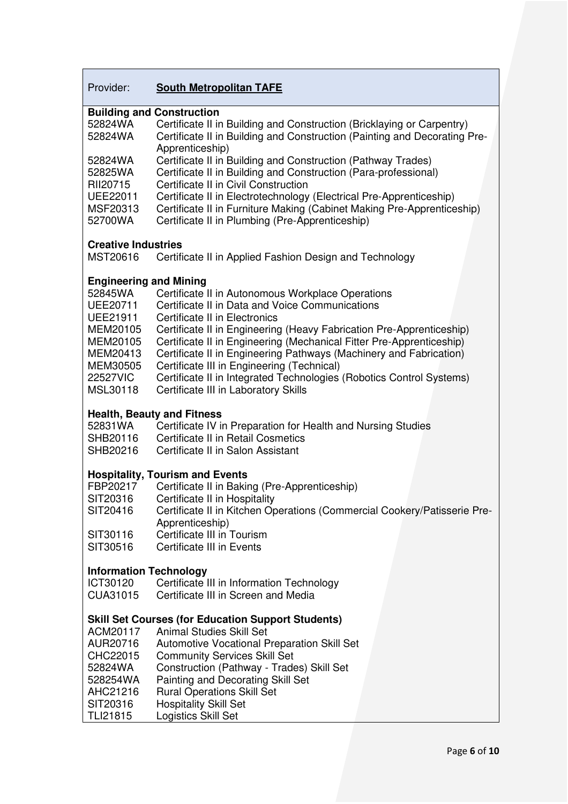# Provider: **South Metropolitan TAFE**

|                               | <b>Building and Construction</b>                                          |
|-------------------------------|---------------------------------------------------------------------------|
| 52824WA                       | Certificate II in Building and Construction (Bricklaying or Carpentry)    |
| 52824WA                       | Certificate II in Building and Construction (Painting and Decorating Pre- |
|                               | Apprenticeship)                                                           |
| 52824WA                       | Certificate II in Building and Construction (Pathway Trades)              |
| 52825WA                       | Certificate II in Building and Construction (Para-professional)           |
| RII20715                      | Certificate II in Civil Construction                                      |
|                               |                                                                           |
| <b>UEE22011</b>               | Certificate II in Electrotechnology (Electrical Pre-Apprenticeship)       |
| MSF20313                      | Certificate II in Furniture Making (Cabinet Making Pre-Apprenticeship)    |
| 52700WA                       | Certificate II in Plumbing (Pre-Apprenticeship)                           |
|                               |                                                                           |
| <b>Creative Industries</b>    |                                                                           |
| MST20616                      | Certificate II in Applied Fashion Design and Technology                   |
|                               |                                                                           |
| <b>Engineering and Mining</b> |                                                                           |
| 52845WA                       | Certificate II in Autonomous Workplace Operations                         |
| <b>UEE20711</b>               | Certificate II in Data and Voice Communications                           |
| <b>UEE21911</b>               | Certificate II in Electronics                                             |
| MEM20105                      | Certificate II in Engineering (Heavy Fabrication Pre-Apprenticeship)      |
| MEM20105                      | Certificate II in Engineering (Mechanical Fitter Pre-Apprenticeship)      |
| MEM20413                      | Certificate II in Engineering Pathways (Machinery and Fabrication)        |
| MEM30505                      | Certificate III in Engineering (Technical)                                |
|                               |                                                                           |
| <b>22527VIC</b>               | Certificate II in Integrated Technologies (Robotics Control Systems)      |
| MSL30118                      | Certificate III in Laboratory Skills                                      |
|                               |                                                                           |
|                               | <b>Health, Beauty and Fitness</b>                                         |
| 52831WA                       | Certificate IV in Preparation for Health and Nursing Studies              |
| SHB20116                      | Certificate II in Retail Cosmetics                                        |
| SHB20216                      | Certificate II in Salon Assistant                                         |
|                               |                                                                           |
|                               | <b>Hospitality, Tourism and Events</b>                                    |
| FBP20217                      | Certificate II in Baking (Pre-Apprenticeship)                             |
| SIT20316                      | Certificate II in Hospitality                                             |
| SIT20416                      | Certificate II in Kitchen Operations (Commercial Cookery/Patisserie Pre-  |
|                               | Apprenticeship)                                                           |
| SIT30116                      | Certificate III in Tourism                                                |
| SIT30516                      | <b>Certificate III in Events</b>                                          |
|                               |                                                                           |
| <b>Information Technology</b> |                                                                           |
| ICT30120                      | Certificate III in Information Technology                                 |
| CUA31015                      | Certificate III in Screen and Media                                       |
|                               |                                                                           |
|                               | <b>Skill Set Courses (for Education Support Students)</b>                 |
| ACM20117                      | <b>Animal Studies Skill Set</b>                                           |
|                               |                                                                           |
| AUR20716                      | Automotive Vocational Preparation Skill Set                               |
| CHC22015                      | <b>Community Services Skill Set</b>                                       |
| 52824WA                       | Construction (Pathway - Trades) Skill Set                                 |
| 528254WA                      | Painting and Decorating Skill Set                                         |
| AHC21216                      | <b>Rural Operations Skill Set</b>                                         |
| SIT20316                      | <b>Hospitality Skill Set</b>                                              |
| <b>TLI21815</b>               | Logistics Skill Set                                                       |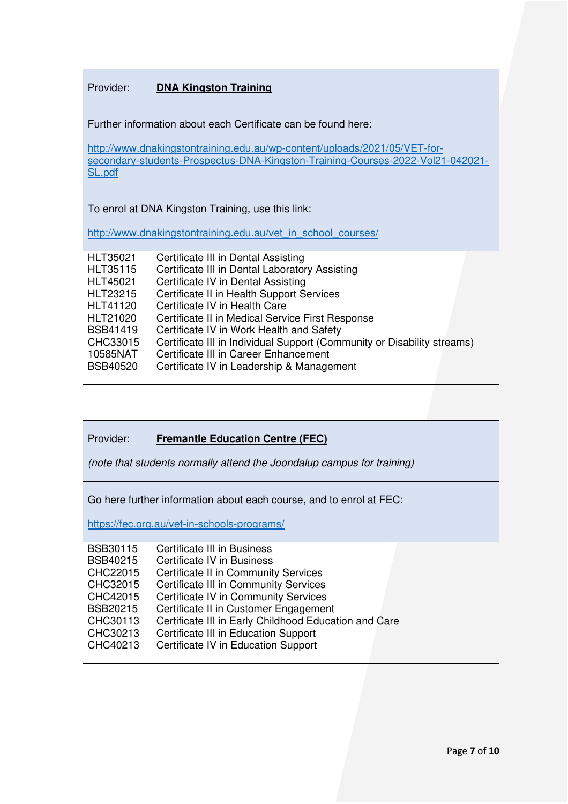## Provider: **DNA Kingston Training**

Further information about each Certificate can be found here:

[http://www.dnakingstontraining.edu.au/wp-content/uploads/2021/05/VET-for](http://www.dnakingstontraining.edu.au/wp-content/uploads/2021/05/VET-for-secondary-students-Prospectus-DNA-Kingston-Training-Courses-2022-Vol21-042021-SL.pdf)[secondary-students-Prospectus-DNA-Kingston-Training-Courses-2022-Vol21-042021-](http://www.dnakingstontraining.edu.au/wp-content/uploads/2021/05/VET-for-secondary-students-Prospectus-DNA-Kingston-Training-Courses-2022-Vol21-042021-SL.pdf) [SL.pdf](http://www.dnakingstontraining.edu.au/wp-content/uploads/2021/05/VET-for-secondary-students-Prospectus-DNA-Kingston-Training-Courses-2022-Vol21-042021-SL.pdf)

To enrol at DNA Kingston Training, use this link:

[http://www.dnakingstontraining.edu.au/vet\\_in\\_school\\_courses/](http://www.dnakingstontraining.edu.au/vet_in_school_courses/)

| <b>HLT35021</b> | Certificate III in Dental Assisting                                     |
|-----------------|-------------------------------------------------------------------------|
| <b>HLT35115</b> | Certificate III in Dental Laboratory Assisting                          |
| <b>HLT45021</b> | Certificate IV in Dental Assisting                                      |
| <b>HLT23215</b> | Certificate II in Health Support Services                               |
| <b>HLT41120</b> | Certificate IV in Health Care                                           |
| HLT21020        | Certificate II in Medical Service First Response                        |
| <b>BSB41419</b> | Certificate IV in Work Health and Safety                                |
| CHC33015        | Certificate III in Individual Support (Community or Disability streams) |
| 10585NAT        | Certificate III in Career Enhancement                                   |
| <b>BSB40520</b> | Certificate IV in Leadership & Management                               |
|                 |                                                                         |

### Provider: **Fremantle Education Centre (FEC)**

(note that students normally attend the Joondalup campus for training)

Go here further information about each course, and to enrol at FEC:

<https://fec.org.au/vet-in-schools-programs/>

| <b>BSB30115</b> | Certificate III in Business                           |
|-----------------|-------------------------------------------------------|
|                 |                                                       |
| <b>BSB40215</b> | Certificate IV in Business                            |
| CHC22015        | <b>Certificate II in Community Services</b>           |
| CHC32015        | <b>Certificate III in Community Services</b>          |
| CHC42015        | <b>Certificate IV in Community Services</b>           |
| <b>BSB20215</b> | Certificate II in Customer Engagement                 |
| CHC30113        | Certificate III in Early Childhood Education and Care |
| CHC30213        | Certificate III in Education Support                  |
| CHC40213        | Certificate IV in Education Support                   |
|                 |                                                       |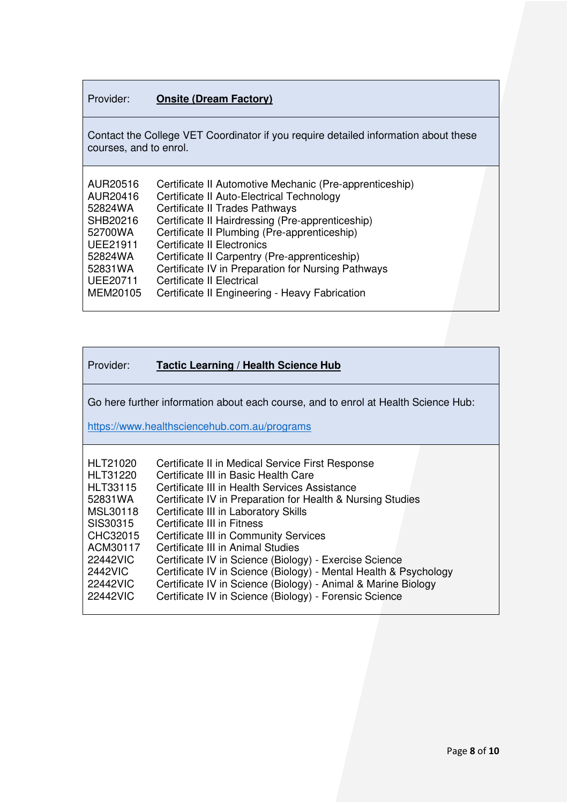# Provider: **Onsite (Dream Factory)**

Contact the College VET Coordinator if you require detailed information about these courses, and to enrol.

Go here further information about each course, and to enrol at Health Science Hub:

<https://www.healthsciencehub.com.au/programs>

| HLT21020        | Certificate II in Medical Service First Response                 |
|-----------------|------------------------------------------------------------------|
| HLT31220        | Certificate III in Basic Health Care                             |
| <b>HLT33115</b> | Certificate III in Health Services Assistance                    |
| 52831WA         | Certificate IV in Preparation for Health & Nursing Studies       |
| MSL30118        | Certificate III in Laboratory Skills                             |
| SIS30315        | Certificate III in Fitness                                       |
| CHC32015        | Certificate III in Community Services                            |
| ACM30117        | Certificate III in Animal Studies                                |
| 22442VIC        | Certificate IV in Science (Biology) - Exercise Science           |
| <b>2442VIC</b>  | Certificate IV in Science (Biology) - Mental Health & Psychology |
| 22442VIC        | Certificate IV in Science (Biology) - Animal & Marine Biology    |
| 22442VIC        | Certificate IV in Science (Biology) - Forensic Science           |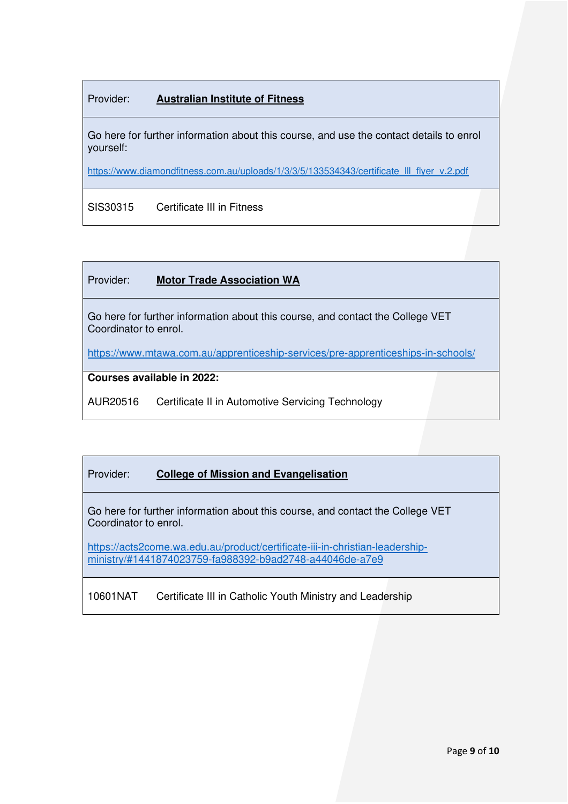# Provider: **Australian Institute of Fitness**

Go here for further information about this course, and use the contact details to enrol yourself:

[https://www.diamondfitness.com.au/uploads/1/3/3/5/133534343/certificate\\_lll\\_flyer\\_v.2.pdf](https://www.diamondfitness.com.au/uploads/1/3/3/5/133534343/certificate_lll_flyer_v.2.pdf)

SIS30315 Certificate III in Fitness

## Provider: **Motor Trade Association WA**

Go here for further information about this course, and contact the College VET Coordinator to enrol.

<https://www.mtawa.com.au/apprenticeship-services/pre-apprenticeships-in-schools/>

#### **Courses available in 2022:**

AUR20516 Certificate II in Automotive Servicing Technology

# Provider: **College of Mission and Evangelisation**

Go here for further information about this course, and contact the College VET Coordinator to enrol.

[https://acts2come.wa.edu.au/product/certificate-iii-in-christian-leadership](https://acts2come.wa.edu.au/product/certificate-iii-in-christian-leadership-ministry/#1441874023759-fa988392-b9ad2748-a44046de-a7e9)[ministry/#1441874023759-fa988392-b9ad2748-a44046de-a7e9](https://acts2come.wa.edu.au/product/certificate-iii-in-christian-leadership-ministry/#1441874023759-fa988392-b9ad2748-a44046de-a7e9)

10601NAT Certificate III in Catholic Youth Ministry and Leadership